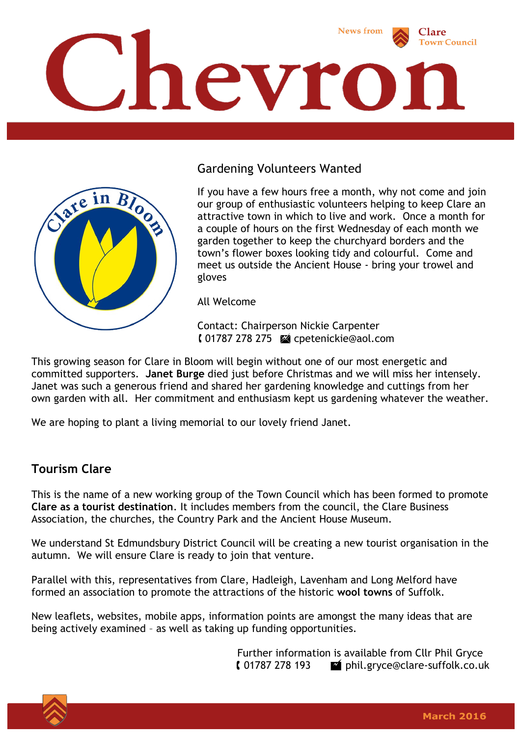

## Gardening Volunteers Wanted



If you have a few hours free a month, why not come and join our group of enthusiastic volunteers helping to keep Clare an attractive town in which to live and work. Once a month for a couple of hours on the first Wednesday of each month we garden together to keep the churchyard borders and the town's flower boxes looking tidy and colourful. Come and meet us outside the Ancient House - bring your trowel and gloves

All Welcome

Contact: Chairperson Nickie Carpenter 01787 278 275 cpetenickie@aol.com

This growing season for Clare in Bloom will begin without one of our most energetic and committed supporters. **Janet Burge** died just before Christmas and we will miss her intensely. Janet was such a generous friend and shared her gardening knowledge and cuttings from her own garden with all. Her commitment and enthusiasm kept us gardening whatever the weather.

We are hoping to plant a living memorial to our lovely friend Janet.

## **Tourism Clare**

This is the name of a new working group of the Town Council which has been formed to promote **Clare as a tourist destination**. It includes members from the council, the Clare Business Association, the churches, the Country Park and the Ancient House Museum.

We understand St Edmundsbury District Council will be creating a new tourist organisation in the autumn. We will ensure Clare is ready to join that venture.

Parallel with this, representatives from Clare, Hadleigh, Lavenham and Long Melford have formed an association to promote the attractions of the historic **wool towns** of Suffolk.

New leaflets, websites, mobile apps, information points are amongst the many ideas that are being actively examined – as well as taking up funding opportunities.

> Further information is available from Cllr Phil Gryce 01787 278 193 phil.gryce@clare-suffolk.co.uk

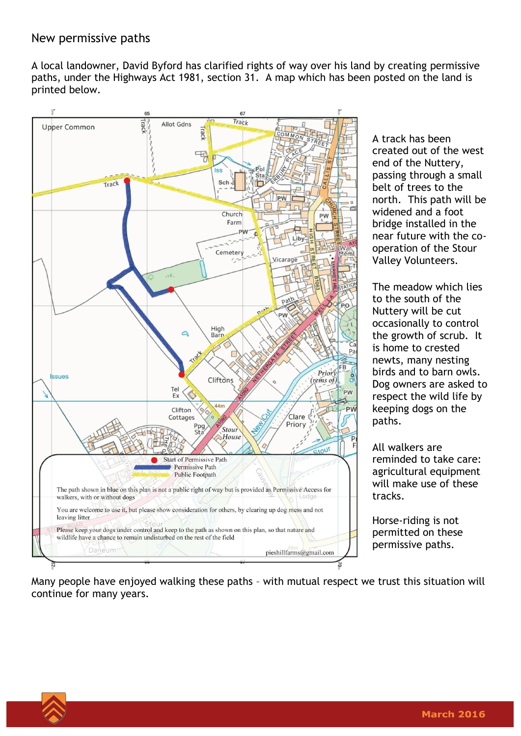A local landowner, David Byford has clarified rights of way over his land by creating permissive paths, under the Highways Act 1981, section 31. A map which has been posted on the land is printed below.



A track has been created out of the west end of the Nuttery, passing through a small belt of trees to the north. This path will be widened and a foot bridge installed in the near future with the cooperation of the Stour Valley Volunteers.

The meadow which lies to the south of the Nuttery will be cut occasionally to control the growth of scrub. It is home to crested newts, many nesting birds and to barn owls. Dog owners are asked to respect the wild life by keeping dogs on the paths.

All walkers are reminded to take care: agricultural equipment will make use of these tracks.

Horse-riding is not permitted on these permissive paths.

Many people have enjoyed walking these paths – with mutual respect we trust this situation will continue for many years.

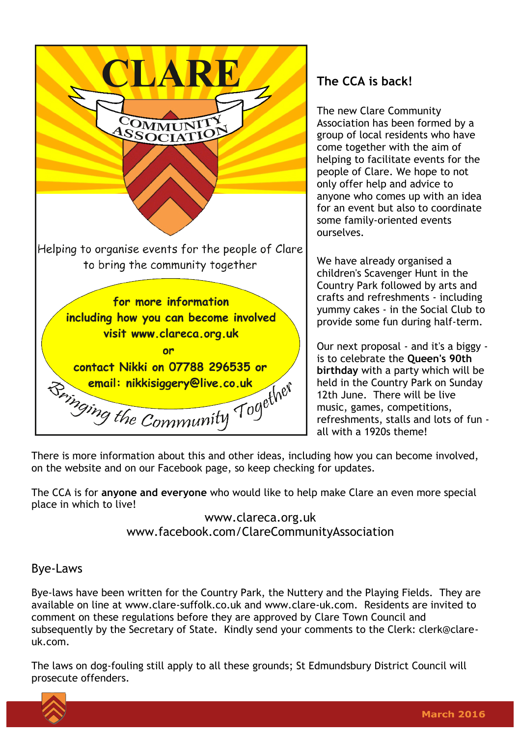

## **The CCA is back!**

The new Clare Community Association has been formed by a group of local residents who have come together with the aim of helping to facilitate events for the people of Clare. We hope to not only offer help and advice to anyone who comes up with an idea for an event but also to coordinate some family-oriented events ourselves.

We have already organised a children's Scavenger Hunt in the Country Park followed by arts and crafts and refreshments - including yummy cakes - in the Social Club to provide some fun during half-term.

Our next proposal - and it's a biggy is to celebrate the **Queen's 90th birthday** with a party which will be held in the Country Park on Sunday 12th June. There will be live music, games, competitions, refreshments, stalls and lots of fun all with a 1920s theme!

There is more information about this and other ideas, including how you can become involved, on the website and on our Facebook page, so keep checking for updates.

The CCA is for **anyone and everyone** who would like to help make Clare an even more special place in which to live!

> www.clareca.org.uk www.facebook.com/ClareCommunityAssociation

## Bye-Laws

Bye-laws have been written for the Country Park, the Nuttery and the Playing Fields. They are available on line at www.clare-suffolk.co.uk and www.clare-uk.com. Residents are invited to comment on these regulations before they are approved by Clare Town Council and subsequently by the Secretary of State. Kindly send your comments to the Clerk: clerk@clareuk.com.

The laws on dog-fouling still apply to all these grounds; St Edmundsbury District Council will prosecute offenders.